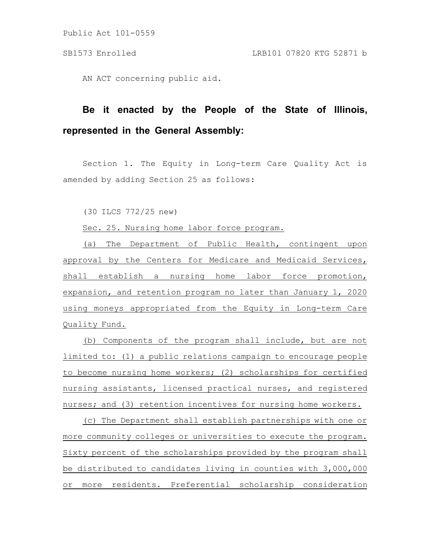AN ACT concerning public aid.

## **Be it enacted by the People of the State of Illinois, represented in the General Assembly:**

Section 1. The Equity in Long-term Care Quality Act is amended by adding Section 25 as follows:

(30 ILCS 772/25 new)

Sec. 25. Nursing home labor force program.

(a) The Department of Public Health, contingent upon approval by the Centers for Medicare and Medicaid Services, shall establish a nursing home labor force promotion, expansion, and retention program no later than January 1, 2020 using moneys appropriated from the Equity in Long-term Care Quality Fund.

(b) Components of the program shall include, but are not limited to: (1) a public relations campaign to encourage people to become nursing home workers; (2) scholarships for certified nursing assistants, licensed practical nurses, and registered nurses; and (3) retention incentives for nursing home workers.

(c) The Department shall establish partnerships with one or more community colleges or universities to execute the program. Sixty percent of the scholarships provided by the program shall be distributed to candidates living in counties with 3,000,000 or more residents. Preferential scholarship consideration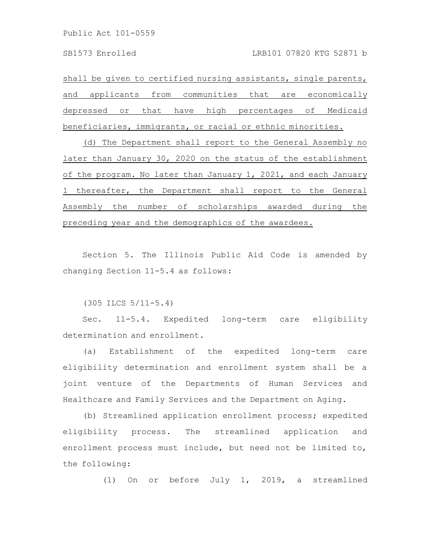shall be given to certified nursing assistants, single parents, and applicants from communities that are economically depressed or that have high percentages of Medicaid beneficiaries, immigrants, or racial or ethnic minorities.

(d) The Department shall report to the General Assembly no later than January 30, 2020 on the status of the establishment of the program. No later than January 1, 2021, and each January 1 thereafter, the Department shall report to the General Assembly the number of scholarships awarded during the preceding year and the demographics of the awardees.

Section 5. The Illinois Public Aid Code is amended by changing Section 11-5.4 as follows:

(305 ILCS 5/11-5.4)

Sec. 11-5.4. Expedited long-term care eligibility determination and enrollment.

(a) Establishment of the expedited long-term care eligibility determination and enrollment system shall be a joint venture of the Departments of Human Services and Healthcare and Family Services and the Department on Aging.

(b) Streamlined application enrollment process; expedited eligibility process. The streamlined application and enrollment process must include, but need not be limited to, the following:

(1) On or before July 1, 2019, a streamlined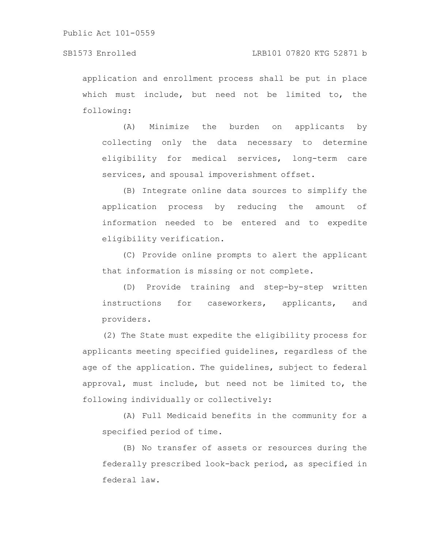application and enrollment process shall be put in place which must include, but need not be limited to, the following:

(A) Minimize the burden on applicants by collecting only the data necessary to determine eligibility for medical services, long-term care services, and spousal impoverishment offset.

(B) Integrate online data sources to simplify the application process by reducing the amount of information needed to be entered and to expedite eligibility verification.

(C) Provide online prompts to alert the applicant that information is missing or not complete.

(D) Provide training and step-by-step written instructions for caseworkers, applicants, and providers.

(2) The State must expedite the eligibility process for applicants meeting specified guidelines, regardless of the age of the application. The guidelines, subject to federal approval, must include, but need not be limited to, the following individually or collectively:

(A) Full Medicaid benefits in the community for a specified period of time.

(B) No transfer of assets or resources during the federally prescribed look-back period, as specified in federal law.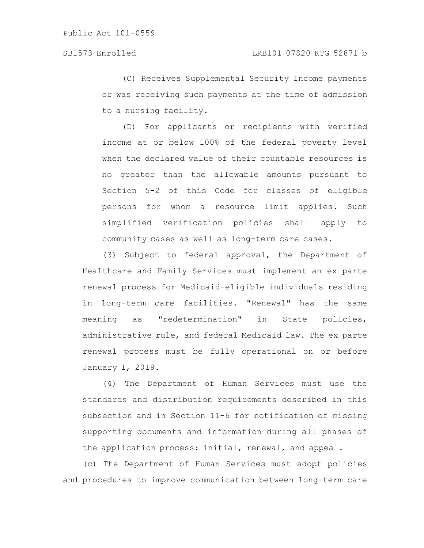(C) Receives Supplemental Security Income payments or was receiving such payments at the time of admission to a nursing facility.

(D) For applicants or recipients with verified income at or below 100% of the federal poverty level when the declared value of their countable resources is no greater than the allowable amounts pursuant to Section 5-2 of this Code for classes of eligible persons for whom a resource limit applies. Such simplified verification policies shall apply to community cases as well as long-term care cases.

(3) Subject to federal approval, the Department of Healthcare and Family Services must implement an ex parte renewal process for Medicaid-eligible individuals residing in long-term care facilities. "Renewal" has the same meaning as "redetermination" in State policies, administrative rule, and federal Medicaid law. The ex parte renewal process must be fully operational on or before January 1, 2019.

(4) The Department of Human Services must use the standards and distribution requirements described in this subsection and in Section 11-6 for notification of missing supporting documents and information during all phases of the application process: initial, renewal, and appeal.

(c) The Department of Human Services must adopt policies and procedures to improve communication between long-term care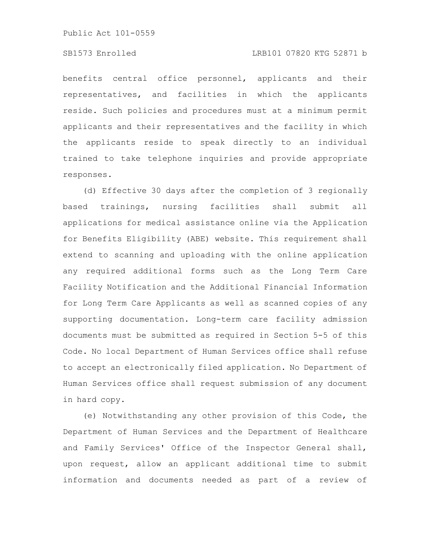benefits central office personnel, applicants and their representatives, and facilities in which the applicants reside. Such policies and procedures must at a minimum permit applicants and their representatives and the facility in which the applicants reside to speak directly to an individual trained to take telephone inquiries and provide appropriate responses.

(d) Effective 30 days after the completion of 3 regionally based trainings, nursing facilities shall submit all applications for medical assistance online via the Application for Benefits Eligibility (ABE) website. This requirement shall extend to scanning and uploading with the online application any required additional forms such as the Long Term Care Facility Notification and the Additional Financial Information for Long Term Care Applicants as well as scanned copies of any supporting documentation. Long-term care facility admission documents must be submitted as required in Section 5-5 of this Code. No local Department of Human Services office shall refuse to accept an electronically filed application. No Department of Human Services office shall request submission of any document in hard copy.

(e) Notwithstanding any other provision of this Code, the Department of Human Services and the Department of Healthcare and Family Services' Office of the Inspector General shall, upon request, allow an applicant additional time to submit information and documents needed as part of a review of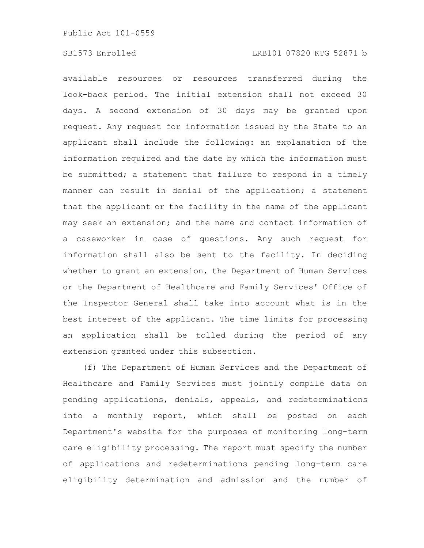available resources or resources transferred during the look-back period. The initial extension shall not exceed 30 days. A second extension of 30 days may be granted upon request. Any request for information issued by the State to an applicant shall include the following: an explanation of the information required and the date by which the information must be submitted; a statement that failure to respond in a timely manner can result in denial of the application; a statement that the applicant or the facility in the name of the applicant may seek an extension; and the name and contact information of a caseworker in case of questions. Any such request for information shall also be sent to the facility. In deciding whether to grant an extension, the Department of Human Services or the Department of Healthcare and Family Services' Office of the Inspector General shall take into account what is in the best interest of the applicant. The time limits for processing an application shall be tolled during the period of any extension granted under this subsection.

(f) The Department of Human Services and the Department of Healthcare and Family Services must jointly compile data on pending applications, denials, appeals, and redeterminations into a monthly report, which shall be posted on each Department's website for the purposes of monitoring long-term care eligibility processing. The report must specify the number of applications and redeterminations pending long-term care eligibility determination and admission and the number of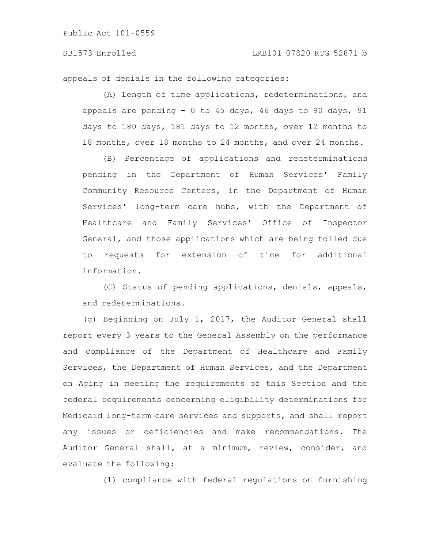appeals of denials in the following categories:

(A) Length of time applications, redeterminations, and appeals are pending - 0 to 45 days, 46 days to 90 days, 91 days to 180 days, 181 days to 12 months, over 12 months to 18 months, over 18 months to 24 months, and over 24 months.

(B) Percentage of applications and redeterminations pending in the Department of Human Services' Family Community Resource Centers, in the Department of Human Services' long-term care hubs, with the Department of Healthcare and Family Services' Office of Inspector General, and those applications which are being tolled due to requests for extension of time for additional information.

(C) Status of pending applications, denials, appeals, and redeterminations.

(g) Beginning on July 1, 2017, the Auditor General shall report every 3 years to the General Assembly on the performance and compliance of the Department of Healthcare and Family Services, the Department of Human Services, and the Department on Aging in meeting the requirements of this Section and the federal requirements concerning eligibility determinations for Medicaid long-term care services and supports, and shall report any issues or deficiencies and make recommendations. The Auditor General shall, at a minimum, review, consider, and evaluate the following:

(1) compliance with federal regulations on furnishing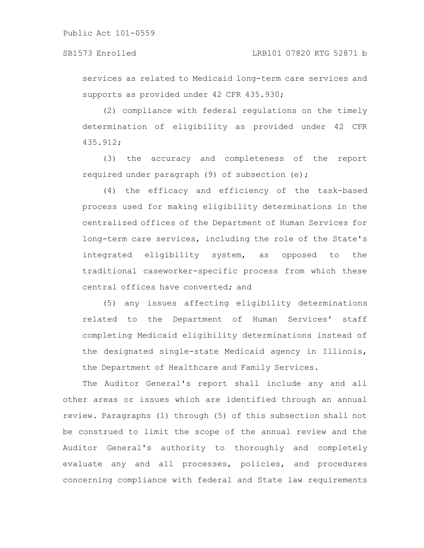services as related to Medicaid long-term care services and supports as provided under 42 CFR 435.930;

(2) compliance with federal regulations on the timely determination of eligibility as provided under 42 CFR 435.912;

(3) the accuracy and completeness of the report required under paragraph (9) of subsection (e);

(4) the efficacy and efficiency of the task-based process used for making eligibility determinations in the centralized offices of the Department of Human Services for long-term care services, including the role of the State's integrated eligibility system, as opposed to the traditional caseworker-specific process from which these central offices have converted; and

(5) any issues affecting eligibility determinations related to the Department of Human Services' staff completing Medicaid eligibility determinations instead of the designated single-state Medicaid agency in Illinois, the Department of Healthcare and Family Services.

The Auditor General's report shall include any and all other areas or issues which are identified through an annual review. Paragraphs (1) through (5) of this subsection shall not be construed to limit the scope of the annual review and the Auditor General's authority to thoroughly and completely evaluate any and all processes, policies, and procedures concerning compliance with federal and State law requirements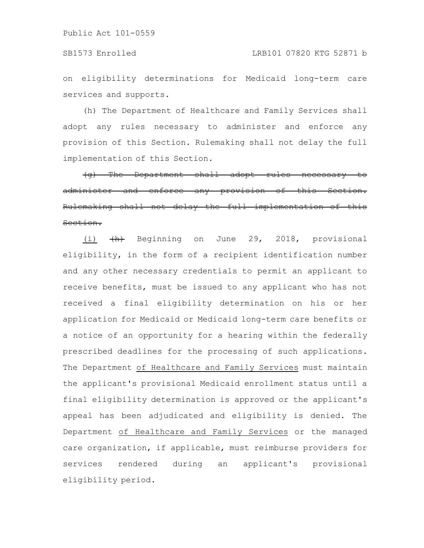on eligibility determinations for Medicaid long-term care services and supports.

(h) The Department of Healthcare and Family Services shall adopt any rules necessary to administer and enforce any provision of this Section. Rulemaking shall not delay the full implementation of this Section.

 $(q)$  The Department shall adopt rules administer and enforce any provision of Rulemaking shall not delay the full implementation of this Section.

(i)  $\left\langle \! \begin{array}{cccc} 4 & - & - & - \\ 4 & - & - & - \\ 8 & - & - & - \end{array} \! \right\rangle$  beginning on June 29, 2018, provisional eligibility, in the form of a recipient identification number and any other necessary credentials to permit an applicant to receive benefits, must be issued to any applicant who has not received a final eligibility determination on his or her application for Medicaid or Medicaid long-term care benefits or a notice of an opportunity for a hearing within the federally prescribed deadlines for the processing of such applications. The Department of Healthcare and Family Services must maintain the applicant's provisional Medicaid enrollment status until a final eligibility determination is approved or the applicant's appeal has been adjudicated and eligibility is denied. The Department of Healthcare and Family Services or the managed care organization, if applicable, must reimburse providers for services rendered during an applicant's provisional eligibility period.